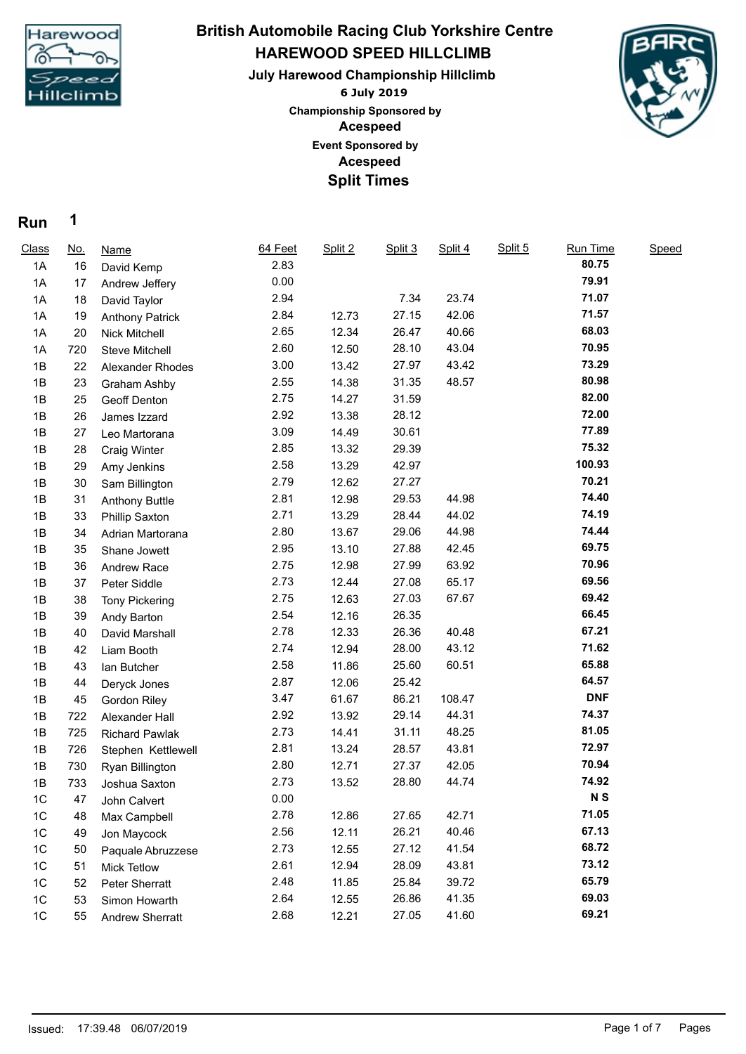

## **HAREWOOD SPEED HILLCLIMB July Harewood Championship Hillclimb British Automobile Racing Club Yorkshire Centre**

**6 July 2019 Acespeed Acespeed Event Sponsored by Championship Sponsored by Split Times**



## **Run 1**

| Class | <u>No.</u> | Name                   | 64 Feet | Split 2 | Split 3 | Split 4 | Split 5 | <b>Run Time</b> | Speed |  |
|-------|------------|------------------------|---------|---------|---------|---------|---------|-----------------|-------|--|
| 1A    | 16         | David Kemp             | 2.83    |         |         |         |         | 80.75           |       |  |
| 1A    | 17         | Andrew Jeffery         | 0.00    |         |         |         |         | 79.91           |       |  |
| 1A    | 18         | David Taylor           | 2.94    |         | 7.34    | 23.74   |         | 71.07           |       |  |
| 1A    | 19         | <b>Anthony Patrick</b> | 2.84    | 12.73   | 27.15   | 42.06   |         | 71.57           |       |  |
| 1A    | 20         | Nick Mitchell          | 2.65    | 12.34   | 26.47   | 40.66   |         | 68.03           |       |  |
| 1A    | 720        | <b>Steve Mitchell</b>  | 2.60    | 12.50   | 28.10   | 43.04   |         | 70.95           |       |  |
| 1B    | 22         | Alexander Rhodes       | 3.00    | 13.42   | 27.97   | 43.42   |         | 73.29           |       |  |
| 1B    | 23         | <b>Graham Ashby</b>    | 2.55    | 14.38   | 31.35   | 48.57   |         | 80.98           |       |  |
| 1B    | 25         | Geoff Denton           | 2.75    | 14.27   | 31.59   |         |         | 82.00           |       |  |
| 1B    | 26         | James Izzard           | 2.92    | 13.38   | 28.12   |         |         | 72.00           |       |  |
| 1B    | 27         | Leo Martorana          | 3.09    | 14.49   | 30.61   |         |         | 77.89           |       |  |
| 1B    | 28         | <b>Craig Winter</b>    | 2.85    | 13.32   | 29.39   |         |         | 75.32           |       |  |
| 1B    | 29         | Amy Jenkins            | 2.58    | 13.29   | 42.97   |         |         | 100.93          |       |  |
| 1B    | 30         | Sam Billington         | 2.79    | 12.62   | 27.27   |         |         | 70.21           |       |  |
| 1B    | 31         | <b>Anthony Buttle</b>  | 2.81    | 12.98   | 29.53   | 44.98   |         | 74.40           |       |  |
| 1B    | 33         | <b>Phillip Saxton</b>  | 2.71    | 13.29   | 28.44   | 44.02   |         | 74.19           |       |  |
| 1B    | 34         | Adrian Martorana       | 2.80    | 13.67   | 29.06   | 44.98   |         | 74.44           |       |  |
| 1B    | 35         | Shane Jowett           | 2.95    | 13.10   | 27.88   | 42.45   |         | 69.75           |       |  |
| 1B    | 36         | Andrew Race            | 2.75    | 12.98   | 27.99   | 63.92   |         | 70.96           |       |  |
| 1B    | 37         | Peter Siddle           | 2.73    | 12.44   | 27.08   | 65.17   |         | 69.56           |       |  |
| 1B    | 38         | <b>Tony Pickering</b>  | 2.75    | 12.63   | 27.03   | 67.67   |         | 69.42           |       |  |
| 1B    | 39         | Andy Barton            | 2.54    | 12.16   | 26.35   |         |         | 66.45           |       |  |
| 1B    | 40         | David Marshall         | 2.78    | 12.33   | 26.36   | 40.48   |         | 67.21           |       |  |
| 1B    | 42         | Liam Booth             | 2.74    | 12.94   | 28.00   | 43.12   |         | 71.62           |       |  |
| 1B    | 43         | lan Butcher            | 2.58    | 11.86   | 25.60   | 60.51   |         | 65.88           |       |  |
| 1B    | 44         | Deryck Jones           | 2.87    | 12.06   | 25.42   |         |         | 64.57           |       |  |
| 1B    | 45         | Gordon Riley           | 3.47    | 61.67   | 86.21   | 108.47  |         | <b>DNF</b>      |       |  |
| 1B    | 722        | Alexander Hall         | 2.92    | 13.92   | 29.14   | 44.31   |         | 74.37           |       |  |
| 1B    | 725        | <b>Richard Pawlak</b>  | 2.73    | 14.41   | 31.11   | 48.25   |         | 81.05           |       |  |
| 1B    | 726        | Stephen Kettlewell     | 2.81    | 13.24   | 28.57   | 43.81   |         | 72.97           |       |  |
| 1B    | 730        | Ryan Billington        | 2.80    | 12.71   | 27.37   | 42.05   |         | 70.94           |       |  |
| 1B    | 733        | Joshua Saxton          | 2.73    | 13.52   | 28.80   | 44.74   |         | 74.92           |       |  |
| 1C    | 47         | John Calvert           | 0.00    |         |         |         |         | N <sub>S</sub>  |       |  |
| 1C    | 48         | Max Campbell           | 2.78    | 12.86   | 27.65   | 42.71   |         | 71.05           |       |  |
| 1C    | 49         | Jon Maycock            | 2.56    | 12.11   | 26.21   | 40.46   |         | 67.13           |       |  |
| $1C$  | 50         | Paquale Abruzzese      | 2.73    | 12.55   | 27.12   | 41.54   |         | 68.72           |       |  |
| $1C$  | 51         | <b>Mick Tetlow</b>     | 2.61    | 12.94   | 28.09   | 43.81   |         | 73.12           |       |  |
| 1C    | 52         | Peter Sherratt         | 2.48    | 11.85   | 25.84   | 39.72   |         | 65.79           |       |  |
| 1C    | 53         | Simon Howarth          | 2.64    | 12.55   | 26.86   | 41.35   |         | 69.03           |       |  |
| $1C$  | 55         | <b>Andrew Sherratt</b> | 2.68    | 12.21   | 27.05   | 41.60   |         | 69.21           |       |  |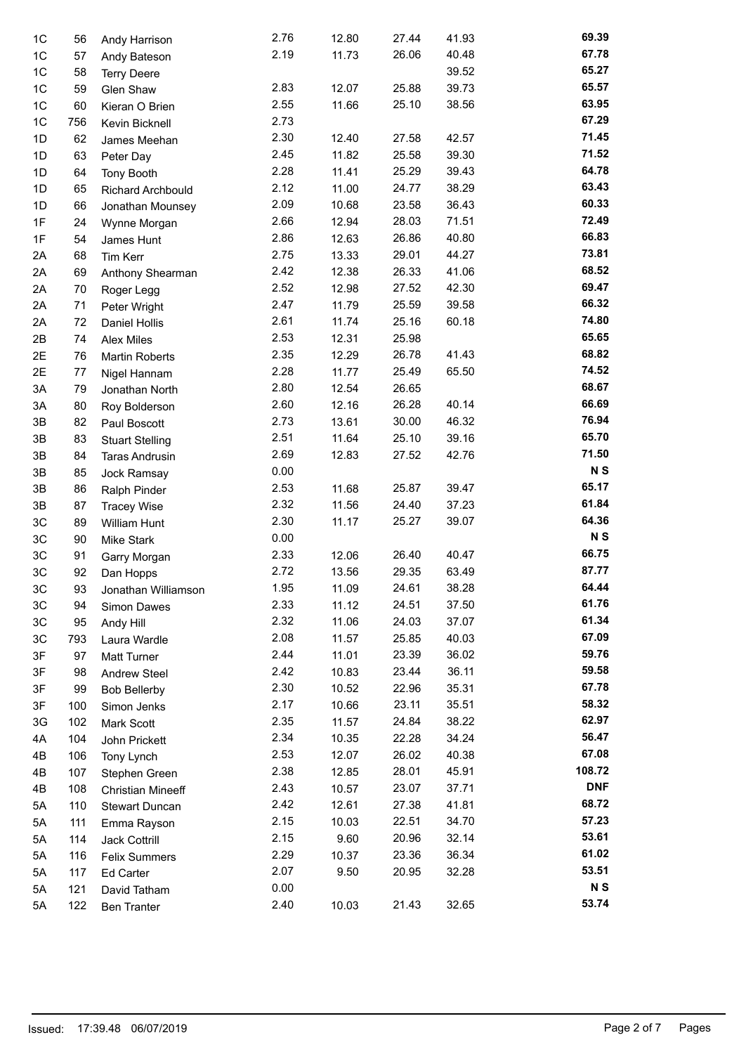| 1 <sup>C</sup> | 56  | Andy Harrison            | 2.76 | 12.80 | 27.44 | 41.93 | 69.39          |
|----------------|-----|--------------------------|------|-------|-------|-------|----------------|
| 1C             | 57  | Andy Bateson             | 2.19 | 11.73 | 26.06 | 40.48 | 67.78          |
| 1C             | 58  | <b>Terry Deere</b>       |      |       |       | 39.52 | 65.27          |
| 1C             | 59  | Glen Shaw                | 2.83 | 12.07 | 25.88 | 39.73 | 65.57          |
| 1C             | 60  | Kieran O Brien           | 2.55 | 11.66 | 25.10 | 38.56 | 63.95          |
| 1 <sup>C</sup> | 756 | Kevin Bicknell           | 2.73 |       |       |       | 67.29          |
| 1D             | 62  | James Meehan             | 2.30 | 12.40 | 27.58 | 42.57 | 71.45          |
| 1D             | 63  | Peter Day                | 2.45 | 11.82 | 25.58 | 39.30 | 71.52          |
| 1D             | 64  | <b>Tony Booth</b>        | 2.28 | 11.41 | 25.29 | 39.43 | 64.78          |
| 1D             | 65  | <b>Richard Archbould</b> | 2.12 | 11.00 | 24.77 | 38.29 | 63.43          |
| 1D             | 66  | Jonathan Mounsey         | 2.09 | 10.68 | 23.58 | 36.43 | 60.33          |
| 1F             | 24  | Wynne Morgan             | 2.66 | 12.94 | 28.03 | 71.51 | 72.49          |
| 1F             | 54  | James Hunt               | 2.86 | 12.63 | 26.86 | 40.80 | 66.83          |
| 2A             | 68  | Tim Kerr                 | 2.75 | 13.33 | 29.01 | 44.27 | 73.81          |
| 2A             | 69  | Anthony Shearman         | 2.42 | 12.38 | 26.33 | 41.06 | 68.52          |
| 2A             | 70  | Roger Legg               | 2.52 | 12.98 | 27.52 | 42.30 | 69.47          |
| 2A             | 71  | Peter Wright             | 2.47 | 11.79 | 25.59 | 39.58 | 66.32          |
| 2A             | 72  | <b>Daniel Hollis</b>     | 2.61 | 11.74 | 25.16 | 60.18 | 74.80          |
| 2B             | 74  | <b>Alex Miles</b>        | 2.53 | 12.31 | 25.98 |       | 65.65          |
| 2E             | 76  | <b>Martin Roberts</b>    | 2.35 | 12.29 | 26.78 | 41.43 | 68.82          |
| 2E             | 77  | Nigel Hannam             | 2.28 | 11.77 | 25.49 | 65.50 | 74.52          |
| 3A             | 79  | Jonathan North           | 2.80 | 12.54 | 26.65 |       | 68.67          |
| 3A             | 80  | Roy Bolderson            | 2.60 | 12.16 | 26.28 | 40.14 | 66.69          |
| 3B             | 82  | Paul Boscott             | 2.73 | 13.61 | 30.00 | 46.32 | 76.94          |
| 3B             | 83  | <b>Stuart Stelling</b>   | 2.51 | 11.64 | 25.10 | 39.16 | 65.70          |
| 3B             | 84  | <b>Taras Andrusin</b>    | 2.69 | 12.83 | 27.52 | 42.76 | 71.50          |
| 3B             | 85  | Jock Ramsay              | 0.00 |       |       |       | N <sub>S</sub> |
| 3B             | 86  | Ralph Pinder             | 2.53 | 11.68 | 25.87 | 39.47 | 65.17          |
| 3B             | 87  | <b>Tracey Wise</b>       | 2.32 | 11.56 | 24.40 | 37.23 | 61.84          |
| 3C             | 89  | William Hunt             | 2.30 | 11.17 | 25.27 | 39.07 | 64.36          |
| 3C             | 90  | <b>Mike Stark</b>        | 0.00 |       |       |       | <b>NS</b>      |
| 3C             | 91  | Garry Morgan             | 2.33 | 12.06 | 26.40 | 40.47 | 66.75          |
| 3C             | 92  | Dan Hopps                | 2.72 | 13.56 | 29.35 | 63.49 | 87.77          |
| 3C.            | 93  | Jonathan Williamson      | 1.95 | 11.09 | 24.61 | 38.28 | 64.44          |
| 3C             | 94  | Simon Dawes              | 2.33 | 11.12 | 24.51 | 37.50 | 61.76          |
| 3C             | 95  | Andy Hill                | 2.32 | 11.06 | 24.03 | 37.07 | 61.34          |
| 3C             | 793 | Laura Wardle             | 2.08 | 11.57 | 25.85 | 40.03 | 67.09          |
| 3F             | 97  | <b>Matt Turner</b>       | 2.44 | 11.01 | 23.39 | 36.02 | 59.76          |
| 3F             | 98  | <b>Andrew Steel</b>      | 2.42 | 10.83 | 23.44 | 36.11 | 59.58          |
| 3F             | 99  | <b>Bob Bellerby</b>      | 2.30 | 10.52 | 22.96 | 35.31 | 67.78          |
| 3F             | 100 | Simon Jenks              | 2.17 | 10.66 | 23.11 | 35.51 | 58.32          |
| 3G             | 102 | Mark Scott               | 2.35 | 11.57 | 24.84 | 38.22 | 62.97          |
| 4A             | 104 | John Prickett            | 2.34 | 10.35 | 22.28 | 34.24 | 56.47          |
| 4B             | 106 | Tony Lynch               | 2.53 | 12.07 | 26.02 | 40.38 | 67.08          |
| 4B             | 107 | Stephen Green            | 2.38 | 12.85 | 28.01 | 45.91 | 108.72         |
| 4B             | 108 | <b>Christian Mineeff</b> | 2.43 | 10.57 | 23.07 | 37.71 | <b>DNF</b>     |
| 5Α             | 110 | <b>Stewart Duncan</b>    | 2.42 | 12.61 | 27.38 | 41.81 | 68.72          |
| 5A             | 111 | Emma Rayson              | 2.15 | 10.03 | 22.51 | 34.70 | 57.23          |
| 5A             | 114 | Jack Cottrill            | 2.15 | 9.60  | 20.96 | 32.14 | 53.61          |
| 5A             | 116 | <b>Felix Summers</b>     | 2.29 | 10.37 | 23.36 | 36.34 | 61.02          |
| 5A             | 117 | Ed Carter                | 2.07 | 9.50  | 20.95 | 32.28 | 53.51          |
| 5A             | 121 | David Tatham             | 0.00 |       |       |       | <b>NS</b>      |
| 5A             | 122 | <b>Ben Tranter</b>       | 2.40 | 10.03 | 21.43 | 32.65 | 53.74          |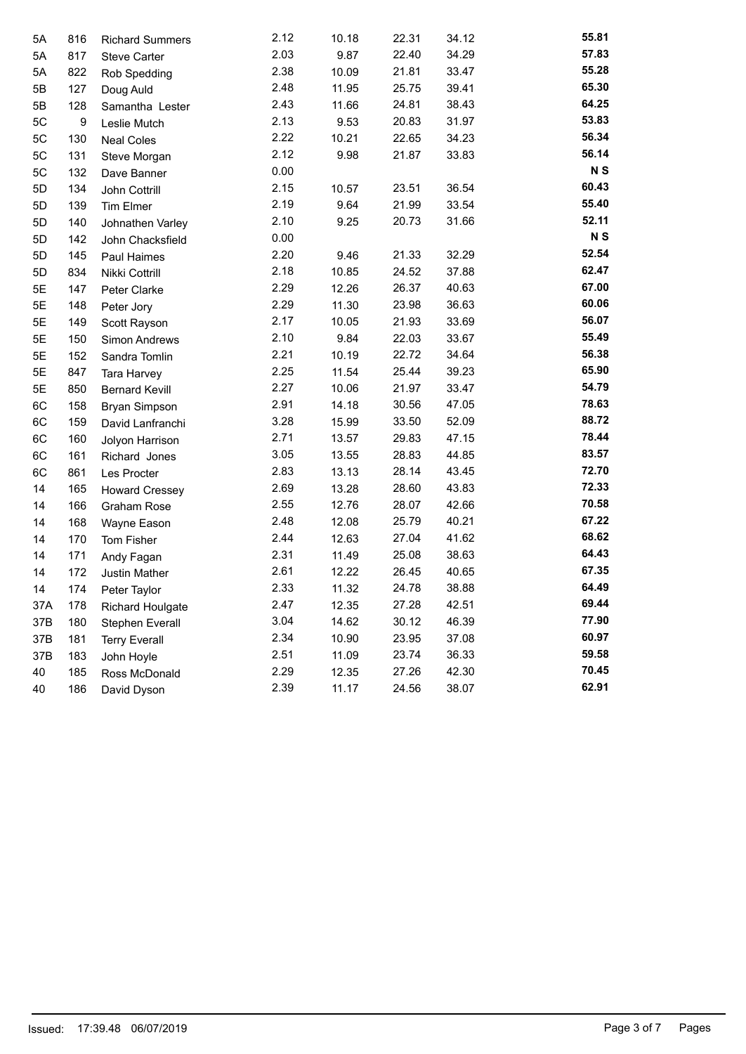| 5A  | 816 | <b>Richard Summers</b>  | 2.12 | 10.18 | 22.31 | 34.12 | 55.81          |
|-----|-----|-------------------------|------|-------|-------|-------|----------------|
| 5A  | 817 | <b>Steve Carter</b>     | 2.03 | 9.87  | 22.40 | 34.29 | 57.83          |
| 5A  | 822 | Rob Spedding            | 2.38 | 10.09 | 21.81 | 33.47 | 55.28          |
| 5Β  | 127 | Doug Auld               | 2.48 | 11.95 | 25.75 | 39.41 | 65.30          |
| 5Β  | 128 | Samantha Lester         | 2.43 | 11.66 | 24.81 | 38.43 | 64.25          |
| 5C  | 9   | Leslie Mutch            | 2.13 | 9.53  | 20.83 | 31.97 | 53.83          |
| 5C  | 130 | <b>Neal Coles</b>       | 2.22 | 10.21 | 22.65 | 34.23 | 56.34          |
| 5C  | 131 | Steve Morgan            | 2.12 | 9.98  | 21.87 | 33.83 | 56.14          |
| 5C  | 132 | Dave Banner             | 0.00 |       |       |       | N <sub>S</sub> |
| 5D  | 134 | John Cottrill           | 2.15 | 10.57 | 23.51 | 36.54 | 60.43          |
| 5D  | 139 | Tim Elmer               | 2.19 | 9.64  | 21.99 | 33.54 | 55.40          |
| 5D  | 140 | Johnathen Varley        | 2.10 | 9.25  | 20.73 | 31.66 | 52.11          |
| 5D  | 142 | John Chacksfield        | 0.00 |       |       |       | N <sub>S</sub> |
| 5D  | 145 | Paul Haimes             | 2.20 | 9.46  | 21.33 | 32.29 | 52.54          |
| 5D  | 834 | Nikki Cottrill          | 2.18 | 10.85 | 24.52 | 37.88 | 62.47          |
| 5E  | 147 | Peter Clarke            | 2.29 | 12.26 | 26.37 | 40.63 | 67.00          |
| 5E  | 148 | Peter Jory              | 2.29 | 11.30 | 23.98 | 36.63 | 60.06          |
| 5E  | 149 | Scott Rayson            | 2.17 | 10.05 | 21.93 | 33.69 | 56.07          |
| 5E  | 150 | Simon Andrews           | 2.10 | 9.84  | 22.03 | 33.67 | 55.49          |
| 5E  | 152 | Sandra Tomlin           | 2.21 | 10.19 | 22.72 | 34.64 | 56.38          |
| 5E  | 847 | Tara Harvey             | 2.25 | 11.54 | 25.44 | 39.23 | 65.90          |
| 5E  | 850 | <b>Bernard Kevill</b>   | 2.27 | 10.06 | 21.97 | 33.47 | 54.79          |
| 6C  | 158 | <b>Bryan Simpson</b>    | 2.91 | 14.18 | 30.56 | 47.05 | 78.63          |
| 6C  | 159 | David Lanfranchi        | 3.28 | 15.99 | 33.50 | 52.09 | 88.72          |
| 6C  | 160 | Jolyon Harrison         | 2.71 | 13.57 | 29.83 | 47.15 | 78.44          |
| 6C  | 161 | Richard Jones           | 3.05 | 13.55 | 28.83 | 44.85 | 83.57          |
| 6C  | 861 | Les Procter             | 2.83 | 13.13 | 28.14 | 43.45 | 72.70          |
| 14  | 165 | <b>Howard Cressey</b>   | 2.69 | 13.28 | 28.60 | 43.83 | 72.33          |
| 14  | 166 | <b>Graham Rose</b>      | 2.55 | 12.76 | 28.07 | 42.66 | 70.58          |
| 14  | 168 | Wayne Eason             | 2.48 | 12.08 | 25.79 | 40.21 | 67.22          |
| 14  | 170 | Tom Fisher              | 2.44 | 12.63 | 27.04 | 41.62 | 68.62          |
| 14  | 171 | Andy Fagan              | 2.31 | 11.49 | 25.08 | 38.63 | 64.43          |
| 14  | 172 | Justin Mather           | 2.61 | 12.22 | 26.45 | 40.65 | 67.35          |
| 14  | 174 | Peter Taylor            | 2.33 | 11.32 | 24.78 | 38.88 | 64.49          |
| 37A | 178 | <b>Richard Houlgate</b> | 2.47 | 12.35 | 27.28 | 42.51 | 69.44          |
| 37B | 180 | Stephen Everall         | 3.04 | 14.62 | 30.12 | 46.39 | 77.90          |
| 37B | 181 | <b>Terry Everall</b>    | 2.34 | 10.90 | 23.95 | 37.08 | 60.97          |
| 37B | 183 | John Hoyle              | 2.51 | 11.09 | 23.74 | 36.33 | 59.58          |
| 40  | 185 | Ross McDonald           | 2.29 | 12.35 | 27.26 | 42.30 | 70.45          |
| 40  | 186 | David Dyson             | 2.39 | 11.17 | 24.56 | 38.07 | 62.91          |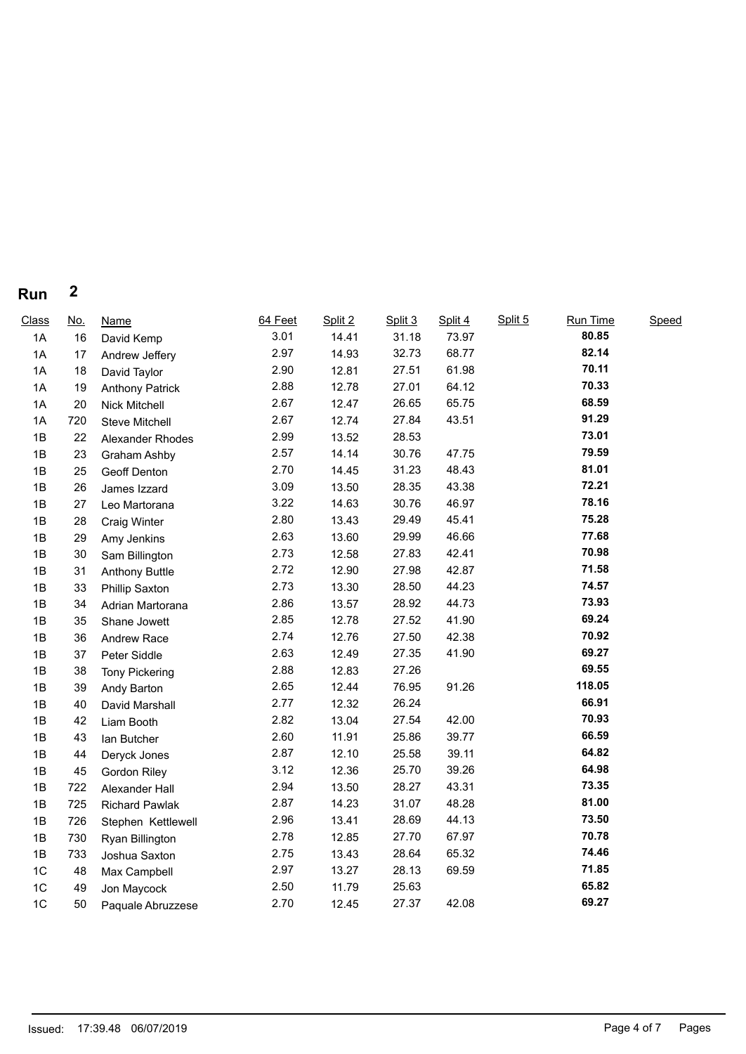## **Run 2**

| Class          | <u>No.</u> | <b>Name</b>            | 64 Feet | Split 2 | Split 3 | Split 4 | Split 5 | Run Time | Speed |
|----------------|------------|------------------------|---------|---------|---------|---------|---------|----------|-------|
| 1A             | 16         | David Kemp             | 3.01    | 14.41   | 31.18   | 73.97   |         | 80.85    |       |
| 1A             | 17         | Andrew Jeffery         | 2.97    | 14.93   | 32.73   | 68.77   |         | 82.14    |       |
| 1A             | 18         | David Taylor           | 2.90    | 12.81   | 27.51   | 61.98   |         | 70.11    |       |
| 1A             | 19         | <b>Anthony Patrick</b> | 2.88    | 12.78   | 27.01   | 64.12   |         | 70.33    |       |
| 1A             | 20         | Nick Mitchell          | 2.67    | 12.47   | 26.65   | 65.75   |         | 68.59    |       |
| 1A             | 720        | Steve Mitchell         | 2.67    | 12.74   | 27.84   | 43.51   |         | 91.29    |       |
| 1B             | 22         | Alexander Rhodes       | 2.99    | 13.52   | 28.53   |         |         | 73.01    |       |
| 1B             | 23         | Graham Ashby           | 2.57    | 14.14   | 30.76   | 47.75   |         | 79.59    |       |
| 1B             | 25         | Geoff Denton           | 2.70    | 14.45   | 31.23   | 48.43   |         | 81.01    |       |
| 1B             | 26         | James Izzard           | 3.09    | 13.50   | 28.35   | 43.38   |         | 72.21    |       |
| 1B             | 27         | Leo Martorana          | 3.22    | 14.63   | 30.76   | 46.97   |         | 78.16    |       |
| 1B             | 28         | <b>Craig Winter</b>    | 2.80    | 13.43   | 29.49   | 45.41   |         | 75.28    |       |
| 1B             | 29         | Amy Jenkins            | 2.63    | 13.60   | 29.99   | 46.66   |         | 77.68    |       |
| 1B             | 30         | Sam Billington         | 2.73    | 12.58   | 27.83   | 42.41   |         | 70.98    |       |
| 1B             | 31         | <b>Anthony Buttle</b>  | 2.72    | 12.90   | 27.98   | 42.87   |         | 71.58    |       |
| 1B             | 33         | Phillip Saxton         | 2.73    | 13.30   | 28.50   | 44.23   |         | 74.57    |       |
| 1B             | 34         | Adrian Martorana       | 2.86    | 13.57   | 28.92   | 44.73   |         | 73.93    |       |
| 1B             | 35         | Shane Jowett           | 2.85    | 12.78   | 27.52   | 41.90   |         | 69.24    |       |
| 1B             | 36         | Andrew Race            | 2.74    | 12.76   | 27.50   | 42.38   |         | 70.92    |       |
| 1B             | 37         | Peter Siddle           | 2.63    | 12.49   | 27.35   | 41.90   |         | 69.27    |       |
| 1B             | 38         | <b>Tony Pickering</b>  | 2.88    | 12.83   | 27.26   |         |         | 69.55    |       |
| 1B             | 39         | Andy Barton            | 2.65    | 12.44   | 76.95   | 91.26   |         | 118.05   |       |
| 1B             | 40         | David Marshall         | 2.77    | 12.32   | 26.24   |         |         | 66.91    |       |
| 1B             | 42         | Liam Booth             | 2.82    | 13.04   | 27.54   | 42.00   |         | 70.93    |       |
| 1B             | 43         | lan Butcher            | 2.60    | 11.91   | 25.86   | 39.77   |         | 66.59    |       |
| 1B             | 44         | Deryck Jones           | 2.87    | 12.10   | 25.58   | 39.11   |         | 64.82    |       |
| 1B             | 45         | Gordon Riley           | 3.12    | 12.36   | 25.70   | 39.26   |         | 64.98    |       |
| 1B             | 722        | Alexander Hall         | 2.94    | 13.50   | 28.27   | 43.31   |         | 73.35    |       |
| 1B             | 725        | <b>Richard Pawlak</b>  | 2.87    | 14.23   | 31.07   | 48.28   |         | 81.00    |       |
| 1B             | 726        | Stephen Kettlewell     | 2.96    | 13.41   | 28.69   | 44.13   |         | 73.50    |       |
| 1B             | 730        | Ryan Billington        | 2.78    | 12.85   | 27.70   | 67.97   |         | 70.78    |       |
| 1B             | 733        | Joshua Saxton          | 2.75    | 13.43   | 28.64   | 65.32   |         | 74.46    |       |
| 1 <sup>C</sup> | 48         | Max Campbell           | 2.97    | 13.27   | 28.13   | 69.59   |         | 71.85    |       |
| 1 <sup>C</sup> | 49         | Jon Maycock            | 2.50    | 11.79   | 25.63   |         |         | 65.82    |       |
| 1C             | 50         | Paquale Abruzzese      | 2.70    | 12.45   | 27.37   | 42.08   |         | 69.27    |       |
|                |            |                        |         |         |         |         |         |          |       |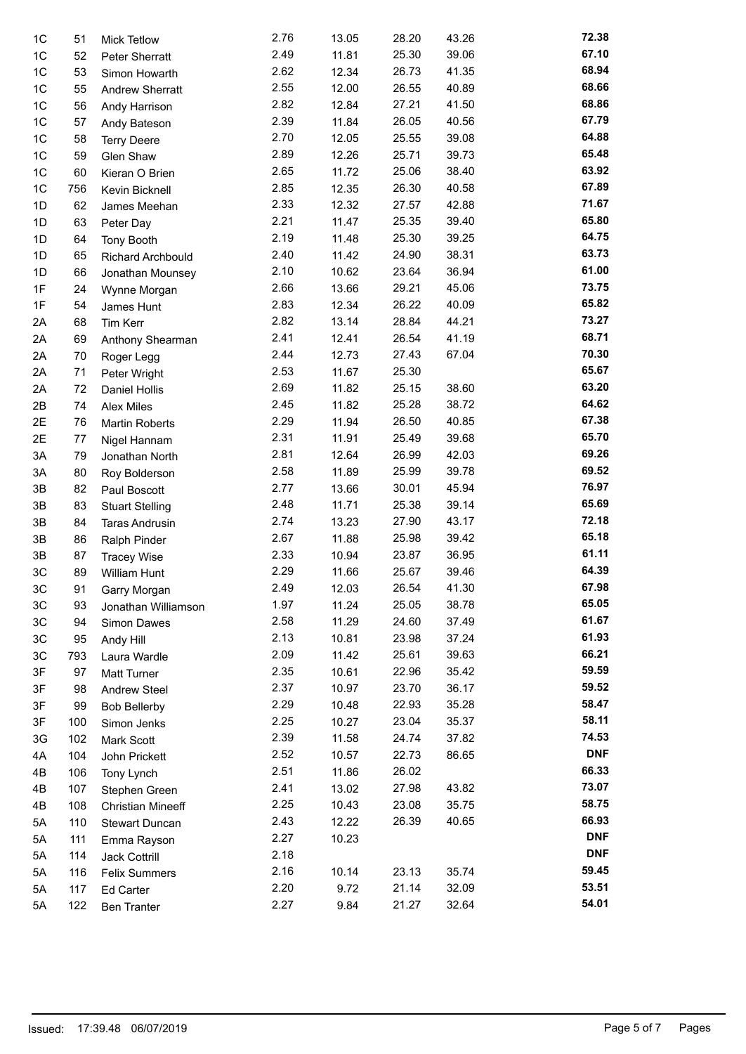| 1C | 51  | <b>Mick Tetlow</b>       | 2.76 | 13.05 | 28.20 | 43.26 | 72.38      |
|----|-----|--------------------------|------|-------|-------|-------|------------|
| 1C | 52  | Peter Sherratt           | 2.49 | 11.81 | 25.30 | 39.06 | 67.10      |
| 1C | 53  | Simon Howarth            | 2.62 | 12.34 | 26.73 | 41.35 | 68.94      |
| 1C | 55  | <b>Andrew Sherratt</b>   | 2.55 | 12.00 | 26.55 | 40.89 | 68.66      |
| 1C | 56  | Andy Harrison            | 2.82 | 12.84 | 27.21 | 41.50 | 68.86      |
| 1C | 57  | Andy Bateson             | 2.39 | 11.84 | 26.05 | 40.56 | 67.79      |
| 1C | 58  | <b>Terry Deere</b>       | 2.70 | 12.05 | 25.55 | 39.08 | 64.88      |
| 1C | 59  | Glen Shaw                | 2.89 | 12.26 | 25.71 | 39.73 | 65.48      |
| 1C | 60  | Kieran O Brien           | 2.65 | 11.72 | 25.06 | 38.40 | 63.92      |
| 1C | 756 | Kevin Bicknell           | 2.85 | 12.35 | 26.30 | 40.58 | 67.89      |
| 1D | 62  | James Meehan             | 2.33 | 12.32 | 27.57 | 42.88 | 71.67      |
| 1D | 63  | Peter Day                | 2.21 | 11.47 | 25.35 | 39.40 | 65.80      |
| 1D | 64  | <b>Tony Booth</b>        | 2.19 | 11.48 | 25.30 | 39.25 | 64.75      |
| 1D | 65  | Richard Archbould        | 2.40 | 11.42 | 24.90 | 38.31 | 63.73      |
| 1D | 66  | Jonathan Mounsey         | 2.10 | 10.62 | 23.64 | 36.94 | 61.00      |
| 1F | 24  | Wynne Morgan             | 2.66 | 13.66 | 29.21 | 45.06 | 73.75      |
| 1F | 54  | James Hunt               | 2.83 | 12.34 | 26.22 | 40.09 | 65.82      |
| 2A | 68  | Tim Kerr                 | 2.82 | 13.14 | 28.84 | 44.21 | 73.27      |
| 2A | 69  | Anthony Shearman         | 2.41 | 12.41 | 26.54 | 41.19 | 68.71      |
| 2A | 70  | Roger Legg               | 2.44 | 12.73 | 27.43 | 67.04 | 70.30      |
| 2A | 71  | Peter Wright             | 2.53 | 11.67 | 25.30 |       | 65.67      |
| 2A | 72  | <b>Daniel Hollis</b>     | 2.69 | 11.82 | 25.15 | 38.60 | 63.20      |
| 2B | 74  | Alex Miles               | 2.45 | 11.82 | 25.28 | 38.72 | 64.62      |
| 2E | 76  | <b>Martin Roberts</b>    | 2.29 | 11.94 | 26.50 | 40.85 | 67.38      |
| 2E | 77  | Nigel Hannam             | 2.31 | 11.91 | 25.49 | 39.68 | 65.70      |
| 3A | 79  | Jonathan North           | 2.81 | 12.64 | 26.99 | 42.03 | 69.26      |
| 3A | 80  | Roy Bolderson            | 2.58 | 11.89 | 25.99 | 39.78 | 69.52      |
| 3B | 82  | Paul Boscott             | 2.77 | 13.66 | 30.01 | 45.94 | 76.97      |
| 3B | 83  | <b>Stuart Stelling</b>   | 2.48 | 11.71 | 25.38 | 39.14 | 65.69      |
| 3B | 84  | <b>Taras Andrusin</b>    | 2.74 | 13.23 | 27.90 | 43.17 | 72.18      |
| 3B | 86  | Ralph Pinder             | 2.67 | 11.88 | 25.98 | 39.42 | 65.18      |
| 3B | 87  | <b>Tracey Wise</b>       | 2.33 | 10.94 | 23.87 | 36.95 | 61.11      |
| 3C | 89  | William Hunt             | 2.29 | 11.66 | 25.67 | 39.46 | 64.39      |
| 3C | 91  | Garry Morgan             | 2.49 | 12.03 | 26.54 | 41.30 | 67.98      |
| ЗC | 93  | Jonathan Williamson      | 1.97 | 11.24 | 25.05 | 38.78 | 65.05      |
| 3C | 94  | Simon Dawes              | 2.58 | 11.29 | 24.60 | 37.49 | 61.67      |
| 3C | 95  | Andy Hill                | 2.13 | 10.81 | 23.98 | 37.24 | 61.93      |
| 3C | 793 | Laura Wardle             | 2.09 | 11.42 | 25.61 | 39.63 | 66.21      |
| 3F | 97  | <b>Matt Turner</b>       | 2.35 | 10.61 | 22.96 | 35.42 | 59.59      |
| 3F | 98  | <b>Andrew Steel</b>      | 2.37 | 10.97 | 23.70 | 36.17 | 59.52      |
| 3F | 99  | <b>Bob Bellerby</b>      | 2.29 | 10.48 | 22.93 | 35.28 | 58.47      |
| 3F | 100 | Simon Jenks              | 2.25 | 10.27 | 23.04 | 35.37 | 58.11      |
| 3G | 102 | Mark Scott               | 2.39 | 11.58 | 24.74 | 37.82 | 74.53      |
| 4A | 104 | John Prickett            | 2.52 | 10.57 | 22.73 | 86.65 | <b>DNF</b> |
| 4B | 106 | Tony Lynch               | 2.51 | 11.86 | 26.02 |       | 66.33      |
| 4B | 107 | Stephen Green            | 2.41 | 13.02 | 27.98 | 43.82 | 73.07      |
| 4B | 108 | <b>Christian Mineeff</b> | 2.25 | 10.43 | 23.08 | 35.75 | 58.75      |
| 5A | 110 | <b>Stewart Duncan</b>    | 2.43 | 12.22 | 26.39 | 40.65 | 66.93      |
| 5A | 111 | Emma Rayson              | 2.27 | 10.23 |       |       | <b>DNF</b> |
| 5А | 114 | Jack Cottrill            | 2.18 |       |       |       | <b>DNF</b> |
| 5A | 116 | <b>Felix Summers</b>     | 2.16 | 10.14 | 23.13 | 35.74 | 59.45      |
| 5A | 117 | Ed Carter                | 2.20 | 9.72  | 21.14 | 32.09 | 53.51      |
| 5A | 122 | <b>Ben Tranter</b>       | 2.27 | 9.84  | 21.27 | 32.64 | 54.01      |
|    |     |                          |      |       |       |       |            |